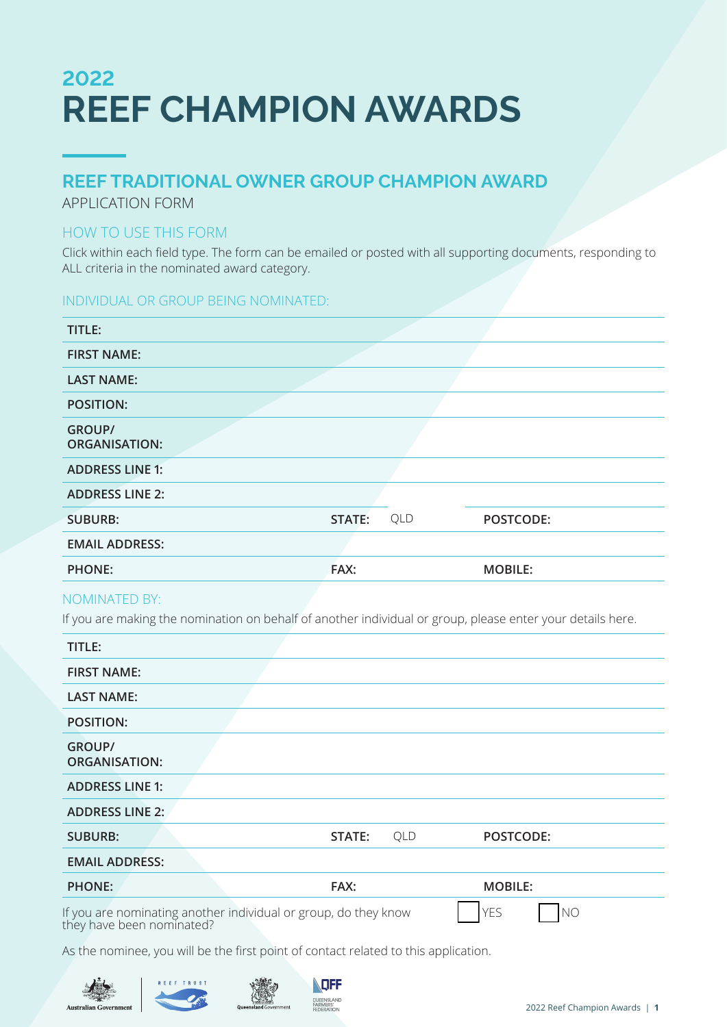# **2022 REEF CHAMPION AWARDS**

## **REEF TRADITIONAL OWNER GROUP CHAMPION AWARD**

APPLICATION FORM

### HOW TO USE THIS FORM

Click within each field type. The form can be emailed or posted with all supporting documents, responding to ALL criteria in the nominated award category.

### INDIVIDUAL OR GROUP BEING NOMINATED:

| TITLE:                                |        |     |                |
|---------------------------------------|--------|-----|----------------|
| <b>FIRST NAME:</b>                    |        |     |                |
| <b>LAST NAME:</b>                     |        |     |                |
| <b>POSITION:</b>                      |        |     |                |
| <b>GROUP/</b><br><b>ORGANISATION:</b> |        |     |                |
| <b>ADDRESS LINE 1:</b>                |        |     |                |
| <b>ADDRESS LINE 2:</b>                |        |     |                |
| <b>SUBURB:</b>                        | STATE: | QLD | POSTCODE:      |
| <b>EMAIL ADDRESS:</b>                 |        |     |                |
| <b>PHONE:</b>                         | FAX:   |     | <b>MOBILE:</b> |

### NOMINATED BY:

If you are making the nomination on behalf of another individual or group, please enter your details here.

| TITLE:                                |                                                                                              |     |                              |  |
|---------------------------------------|----------------------------------------------------------------------------------------------|-----|------------------------------|--|
| <b>FIRST NAME:</b>                    |                                                                                              |     |                              |  |
| <b>LAST NAME:</b>                     |                                                                                              |     |                              |  |
| <b>POSITION:</b>                      |                                                                                              |     |                              |  |
| <b>GROUP/</b><br><b>ORGANISATION:</b> |                                                                                              |     |                              |  |
| <b>ADDRESS LINE 1:</b>                |                                                                                              |     |                              |  |
| <b>ADDRESS LINE 2:</b>                |                                                                                              |     |                              |  |
| <b>SUBURB:</b>                        | STATE:                                                                                       | QLD | POSTCODE:                    |  |
| <b>EMAIL ADDRESS:</b>                 |                                                                                              |     |                              |  |
| <b>PHONE:</b>                         | FAX:                                                                                         |     | <b>MOBILE:</b>               |  |
|                                       | If you are nominating another individual or group, do they know<br>they have been nominated? |     | <b>YES</b><br>N <sub>O</sub> |  |

As the nominee, you will be the first point of contact related to this application.





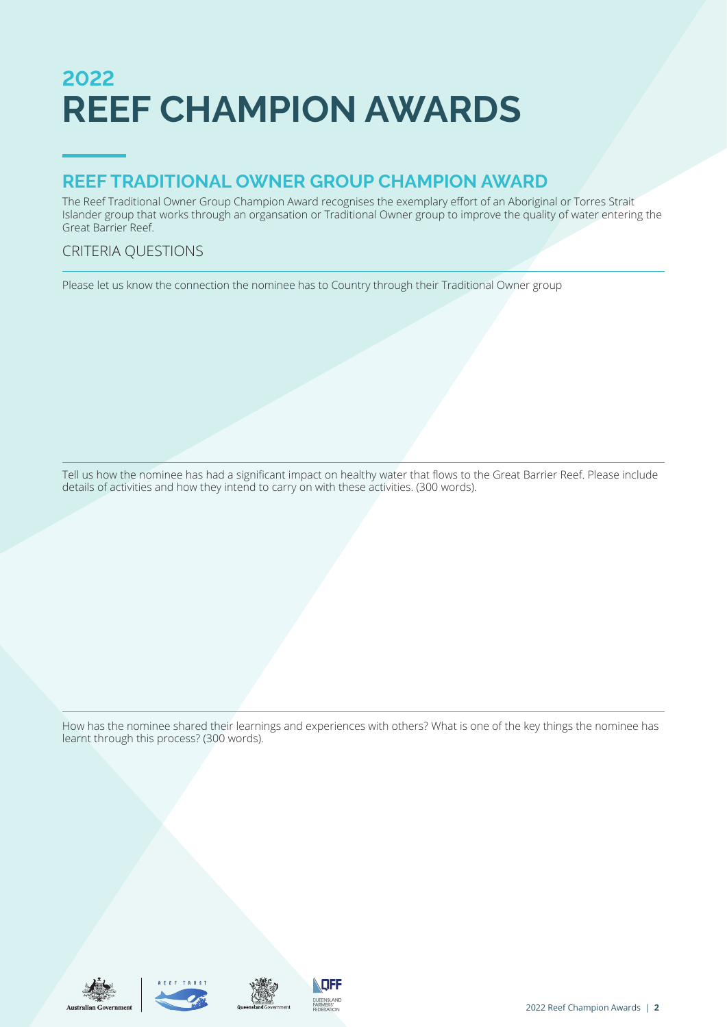# **2022 REEF CHAMPION AWARDS**

## **REEF TRADITIONAL OWNER GROUP CHAMPION AWARD**

The Reef Traditional Owner Group Champion Award recognises the exemplary effort of an Aboriginal or Torres Strait Islander group that works through an organsation or Traditional Owner group to improve the quality of water entering the Great Barrier Reef.

### CRITERIA QUESTIONS

Please let us know the connection the nominee has to Country through their Traditional Owner group

Tell us how the nominee has had a significant impact on healthy water that flows to the Great Barrier Reef. Please include details of activities and how they intend to carry on with these activities. (300 words).

How has the nominee shared their learnings and experiences with others? What is one of the key things the nominee has learnt through this process? (300 words).







**NEF QUEENSLAND**<br>FARMERS'<br>FEDERATION